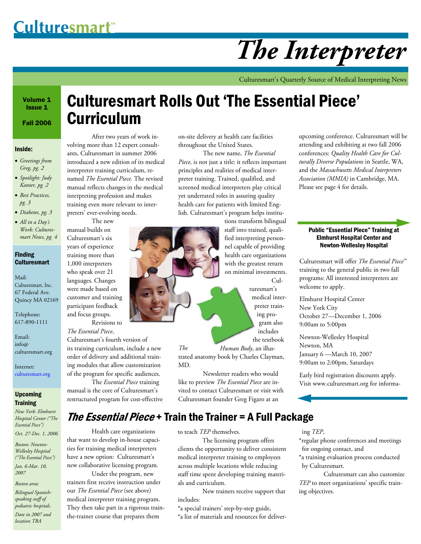# *The Interpreter*

Culturesmart's Quarterly Source of Medical Interpreting News

Volume 1 Issue 1

Fall 2006

### Inside:

- *Greetings from Greg, pg. 2*
- *Spotlight: Judy Kanter, pg. 2*
- *Best Practices, pg. 3*
- *Diabetes, pg. 3*
- *All in a Day's Work: Culturesmart News, pg. 4*

#### Finding **Culturesmart**

Mail: Culturesmart, Inc. 67 Federal Ave. Quincy MA 02169

Telephone: 617-890-1111

Email: info@ culturesmart.org

Internet: culturesmart.org

### Upcoming **Training**

*New York: Elmhurst Hospital Center ("The Essential Piece") Oct. 27-Dec. 1, 2006* 

*Boston: Newton-*

*Wellesley Hospital ("The Essential Piece") Jan. 6-Mar. 10, 2007* 

#### *Boston area:*

*Bilingual Spanishspeaking staff of pediatric hospitals.* 

*Date in 2007 and location TBA* 

# Culturesmart Rolls Out 'The Essential Piece' Curriculum

 After two years of work involving more than 12 expert consultants, Culturesmart in summer 2006 introduced a new edition of its medical interpreter training curriculum, renamed *The Essential Piece.* The revised manual reflects changes in the medical interpreting profession and makes training even more relevant to interpreters' ever-evolving needs.

 The new manual builds on Culturesmart's six years of experience training more than 1,000 interpreters who speak over 21 languages. Changes were made based on customer and training participant feedback and focus groups. Revisions to

*The Essential Piece*, Culturesmart's fourth version of its training curriculum, include a new order of delivery and additional training modules that allow customization of the program for specific audiences.

 The *Essential Piece* training manual is the core of Culturesmart's restructured program for cost-effective

 Health care organizations that want to develop in-house capacities for training medical interpreters have a new option: Culturesmart's new collaborative licensing program. Under the program, new trainers first receive instruction under our *The Essential Piece* (see above) medical interpreter training program. They then take part in a rigorous trainthe-trainer course that prepares them

on-site delivery at health care facilities throughout the United States.

 The new name, *The Essential Piece,* is not just a title: it reflects important principles and realities of medical interpreter training. Trained, qualified, and screened medical interpreters play critical yet underrated roles in assuring quality health care for patients with limited English. Culturesmart's program helps institu-

> tions transform bilingual staff into trained, qualified interpreting personnel capable of providing health care organizations with the greatest return on minimal investments. Cul-

> > turesmart's medical interpreter training program also includes the textbook

*The Human Body*, an illustrated anatomy book by Charles Clayman, MD.

 Newsletter readers who would like to preview *The Essential Piece* are invited to contact Culturesmart or visit with Culturesmart founder Greg Figaro at an

upcoming conference. Culturesmart will be attending and exhibiting at two fall 2006 conferences: *Quality Health Care for Culturally Diverse Populations* in Seattle, WA, and the *Massachusetts Medical Interpreters Association (MMIA)* in Cambridge, MA. Please see page 4 for details.

### Public "Essential Piece" Training at Elmhurst Hospital Center and Newton-Wellesley Hospital

Culturesmart will offer *The Essential Piece*™ training to the general public in two fall programs: All interested interpreters are welcome to apply.

Elmhurst Hospital Center New York City October 27—December 1, 2006 9:00am to 5:00pm

Newton-Wellesley Hospital Newton, MA January 6 —March 10, 2007 9:00am to 2:00pm, Saturdays

Early bird registration discounts apply. Visit www.culturesmart.org for informa-

to teach *TEP* themselves.

The Essential Piece + Train the Trainer = A Full Package

 The licensing program offers clients the opportunity to deliver consistent medical interpreter training to employees across multiple locations while reducing staff time spent developing training materials and curriculum.

 New trainers receive support that includes:

\*a special trainers' step-by-step guide,

\*a list of materials and resources for deliver-

ing *TEP*,

\*regular phone conferences and meetings for ongoing contact, and

\*a training evaluation process conducted by Culturesmart.

 Culturesmart can also customize *TEP* to meet organizations' specific training objectives.

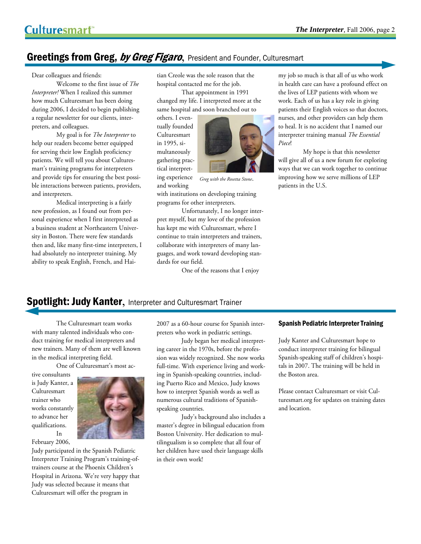# Greetings from Greg, by Greg Figaro, President and Founder, Culturesmart

Dear colleagues and friends:

 Welcome to the first issue of *The Interpreter!* When I realized this summer how much Culturesmart has been doing during 2006, I decided to begin publishing a regular newsletter for our clients, interpreters, and colleagues.

 My goal is for *The Interpreter* to help our readers become better equipped for serving their low English proficiency patients. We will tell you about Culturesmart's training programs for interpreters and provide tips for ensuring the best possible interactions between patients, providers, and interpreters.

 Medical interpreting is a fairly new profession, as I found out from personal experience when I first interpreted as a business student at Northeastern University in Boston. There were few standards then and, like many first-time interpreters, I had absolutely no interpreter training. My ability to speak English, French, and Haitian Creole was the sole reason that the hospital contacted me for the job.

 That appointment in 1991 changed my life. I interpreted more at the same hospital and soon branched out to

others. I eventually founded Culturesmart in 1995, simultaneously gathering practical interpreting experience and working



*Greg with the Rosetta Stone*.

with institutions on developing training programs for other interpreters.

 Unfortunately, I no longer interpret myself, but my love of the profession has kept me with Culturesmart, where I continue to train interpreters and trainers, collaborate with interpreters of many languages, and work toward developing standards for our field.

One of the reasons that I enjoy

my job so much is that all of us who work in health care can have a profound effect on the lives of LEP patients with whom we work. Each of us has a key role in giving patients their English voices so that doctors, nurses, and other providers can help them to heal. It is no accident that I named our interpreter training manual *The Essential Piece*!

 My hope is that this newsletter will give all of us a new forum for exploring ways that we can work together to continue improving how we serve millions of LEP patients in the U.S.

# **Spotlight: Judy Kanter, Interpreter and Culturesmart Trainer**

 The Culturesmart team works with many talented individuals who conduct training for medical interpreters and new trainers. Many of them are well known in the medical interpreting field.

One of Culturesmart's most ac-

tive consultants is Judy Kanter, a Culturesmart trainer who works constantly to advance her qualifications. In



February 2006, Judy participated in the Spanish Pediatric Interpreter Training Program's training-oftrainers course at the Phoenix Children's Hospital in Arizona. We're very happy that Judy was selected because it means that Culturesmart will offer the program in

2007 as a 60-hour course for Spanish interpreters who work in pediatric settings.

 Judy began her medical interpreting career in the 1970s, before the profession was widely recognized. She now works full-time. With experience living and working in Spanish-speaking countries, including Puerto Rico and Mexico, Judy knows how to interpret Spanish words as well as numerous cultural traditions of Spanishspeaking countries.

 Judy's background also includes a master's degree in bilingual education from Boston University. Her dedication to multilingualism is so complete that all four of her children have used their language skills in their own work!

#### Spanish Pediatric Interpreter Training

Judy Kanter and Culturesmart hope to conduct interpreter training for bilingual Spanish-speaking staff of children's hospitals in 2007. The training will be held in the Boston area.

Please contact Culturesmart or visit Culturesmart.org for updates on training dates and location.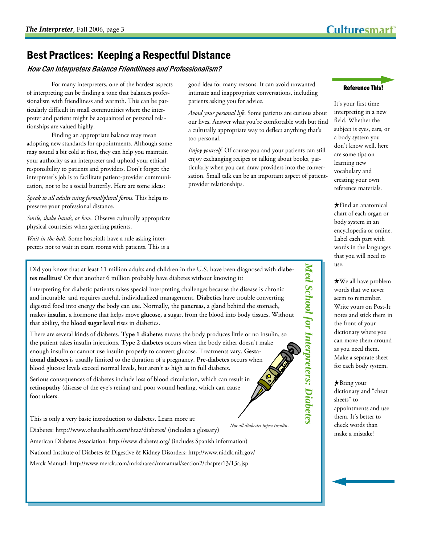Reference This!

It's your first time interpreting in a new

creating your own reference materials.

# Best Practices: Keeping a Respectful Distance

How Can Interpreters Balance Friendliness and Professionalism?

 For many interpreters, one of the hardest aspects of interpreting can be finding a tone that balances professionalism with friendliness and warmth. This can be particularly difficult in small communities where the interpreter and patient might be acquainted or personal relationships are valued highly.

 Finding an appropriate balance may mean adopting new standards for appointments. Although some may sound a bit cold at first, they can help you maintain your authority as an interpreter and uphold your ethical responsibility to patients and providers. Don't forget: the interpreter's job is to facilitate patient-provider communication, not to be a social butterfly. Here are some ideas:

*Speak to all adults using formal/plural forms*. This helps to preserve your professional distance.

*Smile, shake hands, or bow*. Observe culturally appropriate physical courtesies when greeting patients.

*Wait in the hall*. Some hospitals have a rule asking interpreters not to wait in exam rooms with patients. This is a good idea for many reasons. It can avoid unwanted intimate and inappropriate conversations, including patients asking you for advice.

*Avoid your personal life*. Some patients are curious about our lives. Answer what you're comfortable with but find a culturally appropriate way to deflect anything that's too personal.

*Enjoy yourself*. Of course you and your patients can still enjoy exchanging recipes or talking about books, particularly when you can draw providers into the conversation. Small talk can be an important aspect of patientprovider relationships.

Did you know that at least 11 million adults and children in the U.S. have been diagnosed with **diabetes mellitus**? Or that another 6 million probably have diabetes without knowing it?

Interpreting for diabetic patients raises special interpreting challenges because the disease is chronic and incurable, and requires careful, individualized management. **Diabetics** have trouble converting digested food into energy the body can use. Normally, the **pancreas**, a gland behind the stomach, makes **insulin**, a hormone that helps move **glucose,** a sugar, from the blood into body tissues. Without that ability, the **blood sugar level** rises in diabetics.

There are several kinds of diabetes. **Type 1 diabetes** means the body produces little or no insulin, so the patient takes insulin injections. **Type 2 diabetes** occurs when the body either doesn't make enough insulin or cannot use insulin properly to convert glucose. Treatments vary. **Gestational diabetes** is usually limited to the duration of a pregnancy. **Pre-diabetes** occurs when blood glucose levels exceed normal levels, but aren't as high as in full diabetes.

Serious consequences of diabetes include loss of blood circulation, which can result in **retinopathy** (disease of the eye's retina) and poor wound healing, which can cause foot **ulcers**.

This is only a very basic introduction to diabetes. Learn more at:

Diabetes: http://www.ohsuhealth.com/htaz/diabetes/ (includes a glossary)

American Diabetes Association: http://www.diabetes.org/ (includes Spanish information)

National Institute of Diabetes & Digestive & Kidney Disorders: http://www.niddk.nih.gov/

Merck Manual: http://www.merck.com/mrkshared/mmanual/section2/chapter13/13a.jsp

field. Whether the subject is eyes, ears, or a body system you don't know well, here are some tips on learning new vocabulary and

★Find an anatomical chart of each organ or body system in an encyclopedia or online. Label each part with words in the languages that you will need to use.

★We all have problem words that we never seem to remember. Write yours on Post-It notes and stick them in the front of your dictionary where you can move them around as you need them. Make a separate sheet for each body system.

*Med School for Interpreters: Diabetes* 

Med School for Interpreters: Diabetes

★Bring your dictionary and "cheat sheets" to appointments and use them. It's better to check words than make a mistake!

*Not all diabetics inject insulin*.